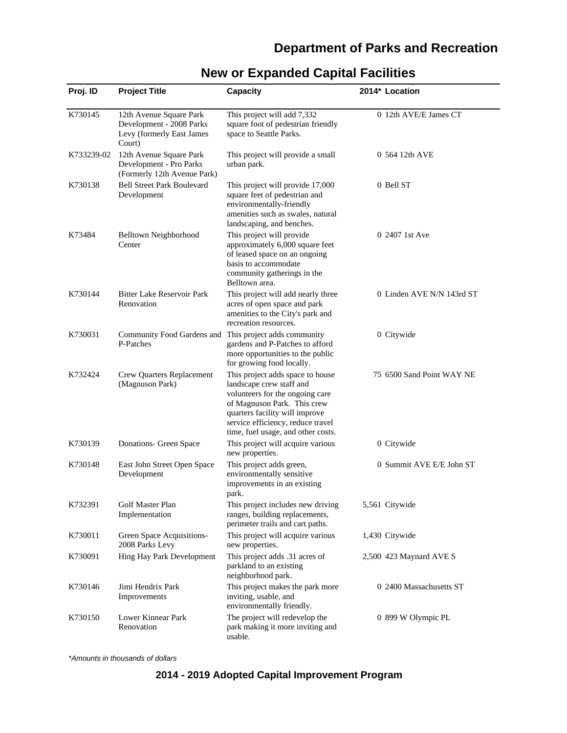# **Department of Parks and Recreation**

| Proj. ID   | <b>Project Title</b>                                                                       | <b>Capacity</b>                                                                                                                                                                                                                             | 2014* Location            |
|------------|--------------------------------------------------------------------------------------------|---------------------------------------------------------------------------------------------------------------------------------------------------------------------------------------------------------------------------------------------|---------------------------|
| K730145    | 12th Avenue Square Park<br>Development - 2008 Parks<br>Levy (formerly East James<br>Court) | This project will add 7,332<br>square foot of pedestrian friendly<br>space to Seattle Parks.                                                                                                                                                | 0 12th AVE/E James CT     |
| K733239-02 | 12th Avenue Square Park<br>Development - Pro Parks<br>(Formerly 12th Avenue Park)          | This project will provide a small<br>urban park.                                                                                                                                                                                            | 0 564 12th AVE            |
| K730138    | <b>Bell Street Park Boulevard</b><br>Development                                           | This project will provide 17,000<br>square feet of pedestrian and<br>environmentally-friendly<br>amenities such as swales, natural<br>landscaping, and benches.                                                                             | 0 Bell ST                 |
| K73484     | Belltown Neighborhood<br>Center                                                            | This project will provide<br>approximately 6,000 square feet<br>of leased space on an ongoing<br>basis to accommodate<br>community gatherings in the<br>Belltown area.                                                                      | 0 2407 1st Ave            |
| K730144    | <b>Bitter Lake Reservoir Park</b><br>Renovation                                            | This project will add nearly three<br>acres of open space and park<br>amenities to the City's park and<br>recreation resources.                                                                                                             | 0 Linden AVE N/N 143rd ST |
| K730031    | Community Food Gardens and<br>P-Patches                                                    | This project adds community<br>gardens and P-Patches to afford<br>more opportunities to the public<br>for growing food locally.                                                                                                             | 0 Citywide                |
| K732424    | Crew Quarters Replacement<br>(Magnuson Park)                                               | This project adds space to house<br>landscape crew staff and<br>volunteers for the ongoing care<br>of Magnuson Park. This crew<br>quarters facility will improve<br>service efficiency, reduce travel<br>time, fuel usage, and other costs. | 75 6500 Sand Point WAY NE |
| K730139    | Donations- Green Space                                                                     | This project will acquire various<br>new properties.                                                                                                                                                                                        | 0 Citywide                |
| K730148    | East John Street Open Space<br>Development                                                 | This project adds green,<br>environmentally sensitive<br>improvements in an existing<br>park.                                                                                                                                               | 0 Summit AVE E/E John ST  |
| K732391    | Golf Master Plan<br>Implementation                                                         | This project includes new driving<br>ranges, building replacements,<br>perimeter trails and cart paths.                                                                                                                                     | 5,561 Citywide            |
| K730011    | Green Space Acquisitions-<br>2008 Parks Levy                                               | This project will acquire various<br>new properties.                                                                                                                                                                                        | 1,430 Citywide            |
| K730091    | Hing Hay Park Development                                                                  | This project adds .31 acres of<br>parkland to an existing<br>neighborhood park.                                                                                                                                                             | 2,500 423 Maynard AVE S   |
| K730146    | Jimi Hendrix Park<br>Improvements                                                          | This project makes the park more<br>inviting, usable, and<br>environmentally friendly.                                                                                                                                                      | 0 2400 Massachusetts ST   |
| K730150    | Lower Kinnear Park<br>Renovation                                                           | The project will redevelop the<br>park making it more inviting and<br>usable.                                                                                                                                                               | 0 899 W Olympic PL        |

# **New or Expanded Capital Facilities**

\*Amounts in thousands of dollars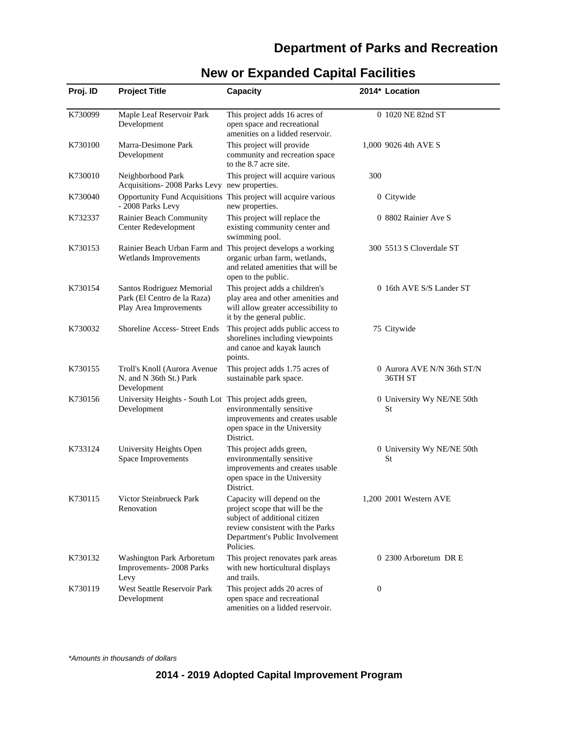# **Department of Parks and Recreation**

| Proj. ID | <b>Project Title</b>                                                               | <b>Capacity</b>                                                                                                                                                                    | 2014* Location                        |
|----------|------------------------------------------------------------------------------------|------------------------------------------------------------------------------------------------------------------------------------------------------------------------------------|---------------------------------------|
| K730099  | Maple Leaf Reservoir Park<br>Development                                           | This project adds 16 acres of<br>open space and recreational<br>amenities on a lidded reservoir.                                                                                   | 0 1020 NE 82nd ST                     |
| K730100  | Marra-Desimone Park<br>Development                                                 | This project will provide<br>community and recreation space<br>to the 8.7 acre site.                                                                                               | 1,000 9026 4th AVE S                  |
| K730010  | Neighborhood Park<br>Acquisitions-2008 Parks Levy new properties.                  | This project will acquire various                                                                                                                                                  | 300                                   |
| K730040  | - 2008 Parks Levy                                                                  | Opportunity Fund Acquisitions This project will acquire various<br>new properties.                                                                                                 | 0 Citywide                            |
| K732337  | Rainier Beach Community<br>Center Redevelopment                                    | This project will replace the<br>existing community center and<br>swimming pool.                                                                                                   | 0 8802 Rainier Ave S                  |
| K730153  | Wetlands Improvements                                                              | Rainier Beach Urban Farm and This project develops a working<br>organic urban farm, wetlands,<br>and related amenities that will be<br>open to the public.                         | 300 5513 S Cloverdale ST              |
| K730154  | Santos Rodriguez Memorial<br>Park (El Centro de la Raza)<br>Play Area Improvements | This project adds a children's<br>play area and other amenities and<br>will allow greater accessibility to<br>it by the general public.                                            | 0 16th AVE S/S Lander ST              |
| K730032  | Shoreline Access- Street Ends                                                      | This project adds public access to<br>shorelines including viewpoints<br>and canoe and kayak launch<br>points.                                                                     | 75 Citywide                           |
| K730155  | Troll's Knoll (Aurora Avenue<br>N. and N 36th St.) Park<br>Development             | This project adds 1.75 acres of<br>sustainable park space.                                                                                                                         | 0 Aurora AVE N/N 36th ST/N<br>36TH ST |
| K730156  | University Heights - South Lot This project adds green,<br>Development             | environmentally sensitive<br>improvements and creates usable<br>open space in the University<br>District.                                                                          | 0 University Wy NE/NE 50th<br>St      |
| K733124  | University Heights Open<br>Space Improvements                                      | This project adds green,<br>environmentally sensitive<br>improvements and creates usable<br>open space in the University<br>District.                                              | 0 University Wy NE/NE 50th<br>St      |
| K730115  | Victor Steinbrueck Park<br>Renovation                                              | Capacity will depend on the<br>project scope that will be the<br>subject of additional citizen<br>review consistent with the Parks<br>Department's Public Involvement<br>Policies. | 1,200 2001 Western AVE                |
| K730132  | Washington Park Arboretum<br>Improvements-2008 Parks<br>Levy                       | This project renovates park areas<br>with new horticultural displays<br>and trails.                                                                                                | 0 2300 Arboretum DR E                 |
| K730119  | West Seattle Reservoir Park<br>Development                                         | This project adds 20 acres of<br>open space and recreational<br>amenities on a lidded reservoir.                                                                                   | $\mathbf{0}$                          |

# **New or Expanded Capital Facilities**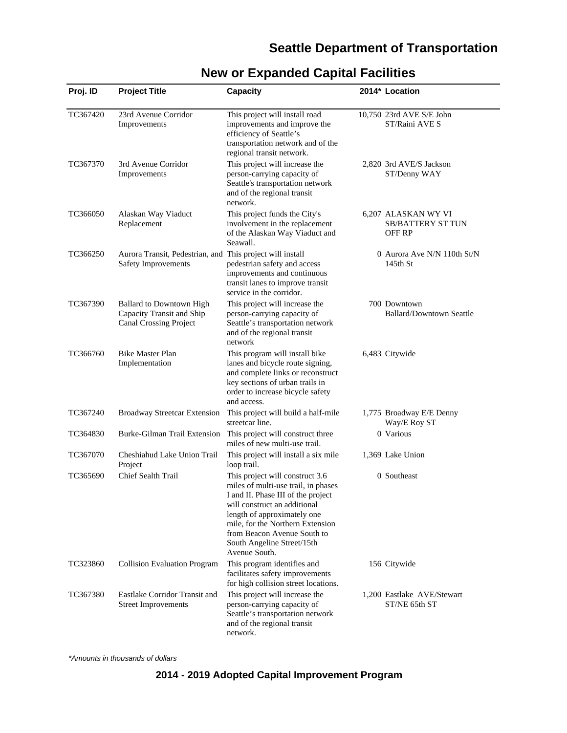# **Seattle Department of Transportation**

| Proj. ID | <b>Project Title</b>                                                                          | Capacity                                                                                                                                                                                                                                                                                      | 2014* Location                                                   |
|----------|-----------------------------------------------------------------------------------------------|-----------------------------------------------------------------------------------------------------------------------------------------------------------------------------------------------------------------------------------------------------------------------------------------------|------------------------------------------------------------------|
| TC367420 | 23rd Avenue Corridor<br>Improvements                                                          | This project will install road<br>improvements and improve the<br>efficiency of Seattle's<br>transportation network and of the<br>regional transit network.                                                                                                                                   | 10,750 23rd AVE S/E John<br>ST/Raini AVE S                       |
| TC367370 | 3rd Avenue Corridor<br>Improvements                                                           | This project will increase the<br>person-carrying capacity of<br>Seattle's transportation network<br>and of the regional transit<br>network.                                                                                                                                                  | 2,820 3rd AVE/S Jackson<br>ST/Denny WAY                          |
| TC366050 | Alaskan Way Viaduct<br>Replacement                                                            | This project funds the City's<br>involvement in the replacement<br>of the Alaskan Way Viaduct and<br>Seawall.                                                                                                                                                                                 | 6,207 ALASKAN WY VI<br><b>SB/BATTERY ST TUN</b><br><b>OFF RP</b> |
| TC366250 | Aurora Transit, Pedestrian, and This project will install<br>Safety Improvements              | pedestrian safety and access<br>improvements and continuous<br>transit lanes to improve transit<br>service in the corridor.                                                                                                                                                                   | 0 Aurora Ave N/N 110th St/N<br>$145th$ St                        |
| TC367390 | <b>Ballard to Downtown High</b><br>Capacity Transit and Ship<br><b>Canal Crossing Project</b> | This project will increase the<br>person-carrying capacity of<br>Seattle's transportation network<br>and of the regional transit<br>network                                                                                                                                                   | 700 Downtown<br><b>Ballard/Downtown Seattle</b>                  |
| TC366760 | <b>Bike Master Plan</b><br>Implementation                                                     | This program will install bike<br>lanes and bicycle route signing,<br>and complete links or reconstruct<br>key sections of urban trails in<br>order to increase bicycle safety<br>and access.                                                                                                 | 6,483 Citywide                                                   |
| TC367240 | <b>Broadway Streetcar Extension</b>                                                           | This project will build a half-mile<br>streetcar line.                                                                                                                                                                                                                                        | 1,775 Broadway E/E Denny<br>Way/E Roy ST                         |
| TC364830 | Burke-Gilman Trail Extension                                                                  | This project will construct three<br>miles of new multi-use trail.                                                                                                                                                                                                                            | 0 Various                                                        |
| TC367070 | Cheshiahud Lake Union Trail<br>Project                                                        | This project will install a six mile<br>loop trail.                                                                                                                                                                                                                                           | 1,369 Lake Union                                                 |
| TC365690 | Chief Sealth Trail                                                                            | This project will construct 3.6<br>miles of multi-use trail, in phases<br>I and II. Phase III of the project<br>will construct an additional<br>length of approximately one<br>mile, for the Northern Extension<br>from Beacon Avenue South to<br>South Angeline Street/15th<br>Avenue South. | 0 Southeast                                                      |
| TC323860 | <b>Collision Evaluation Program</b>                                                           | This program identifies and<br>facilitates safety improvements<br>for high collision street locations.                                                                                                                                                                                        | 156 Citywide                                                     |
| TC367380 | Eastlake Corridor Transit and<br><b>Street Improvements</b>                                   | This project will increase the<br>person-carrying capacity of<br>Seattle's transportation network<br>and of the regional transit<br>network.                                                                                                                                                  | 1,200 Eastlake AVE/Stewart<br>ST/NE 65th ST                      |

# **New or Expanded Capital Facilities**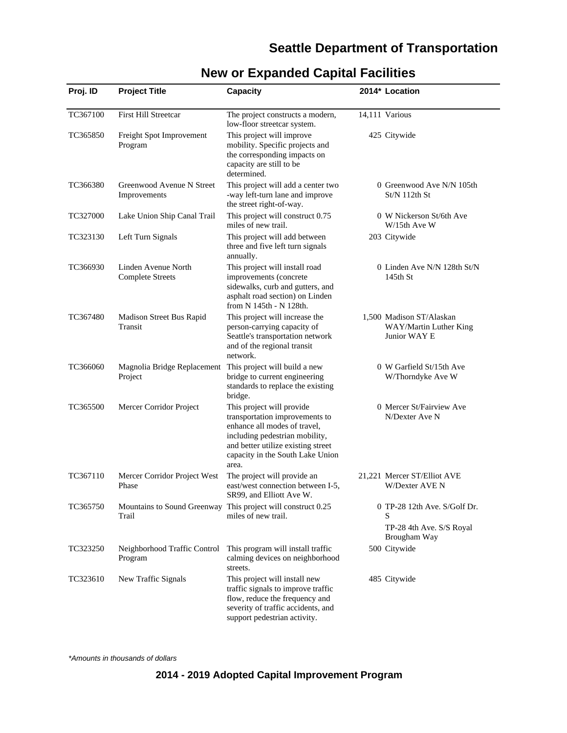### **Seattle Department of Transportation**

| Proj. ID | <b>Project Title</b>                                                 | Capacity                                                                                                                                                                                                         | 2014* Location                                                                |
|----------|----------------------------------------------------------------------|------------------------------------------------------------------------------------------------------------------------------------------------------------------------------------------------------------------|-------------------------------------------------------------------------------|
| TC367100 | First Hill Streetcar                                                 | The project constructs a modern,<br>low-floor streetcar system.                                                                                                                                                  | 14,111 Various                                                                |
| TC365850 | Freight Spot Improvement<br>Program                                  | This project will improve<br>mobility. Specific projects and<br>the corresponding impacts on<br>capacity are still to be<br>determined.                                                                          | 425 Citywide                                                                  |
| TC366380 | Greenwood Avenue N Street<br>Improvements                            | This project will add a center two<br>-way left-turn lane and improve<br>the street right-of-way.                                                                                                                | 0 Greenwood Ave N/N 105th<br>St/N 112th St                                    |
| TC327000 | Lake Union Ship Canal Trail                                          | This project will construct 0.75<br>miles of new trail.                                                                                                                                                          | 0 W Nickerson St/6th Ave<br>W/15th Ave W                                      |
| TC323130 | Left Turn Signals                                                    | This project will add between<br>three and five left turn signals<br>annually.                                                                                                                                   | 203 Citywide                                                                  |
| TC366930 | Linden Avenue North<br><b>Complete Streets</b>                       | This project will install road<br>improvements (concrete<br>sidewalks, curb and gutters, and<br>asphalt road section) on Linden<br>from N 145th - N 128th.                                                       | 0 Linden Ave N/N 128th St/N<br>$145th$ St                                     |
| TC367480 | Madison Street Bus Rapid<br>Transit                                  | This project will increase the<br>person-carrying capacity of<br>Seattle's transportation network<br>and of the regional transit<br>network.                                                                     | 1,500 Madison ST/Alaskan<br>WAY/Martin Luther King<br>Junior WAY E            |
| TC366060 | Magnolia Bridge Replacement This project will build a new<br>Project | bridge to current engineering<br>standards to replace the existing<br>bridge.                                                                                                                                    | 0 W Garfield St/15th Ave<br>W/Thorndyke Ave W                                 |
| TC365500 | Mercer Corridor Project                                              | This project will provide<br>transportation improvements to<br>enhance all modes of travel,<br>including pedestrian mobility,<br>and better utilize existing street<br>capacity in the South Lake Union<br>area. | 0 Mercer St/Fairview Ave<br>N/Dexter Ave N                                    |
| TC367110 | Mercer Corridor Project West<br>Phase                                | The project will provide an<br>east/west connection between I-5,<br>SR99, and Elliott Ave W.                                                                                                                     | 21,221 Mercer ST/Elliot AVE<br>W/Dexter AVE N                                 |
| TC365750 | Trail                                                                | Mountains to Sound Greenway This project will construct 0.25<br>miles of new trail.                                                                                                                              | 0 TP-28 12th Ave. S/Golf Dr.<br>S<br>TP-28 4th Ave. S/S Royal<br>Brougham Way |
| TC323250 | Neighborhood Traffic Control<br>Program                              | This program will install traffic<br>calming devices on neighborhood<br>streets.                                                                                                                                 | 500 Citywide                                                                  |
| TC323610 | New Traffic Signals                                                  | This project will install new<br>traffic signals to improve traffic<br>flow, reduce the frequency and<br>severity of traffic accidents, and<br>support pedestrian activity.                                      | 485 Citywide                                                                  |

# **New or Expanded Capital Facilities**

\*Amounts in thousands of dollars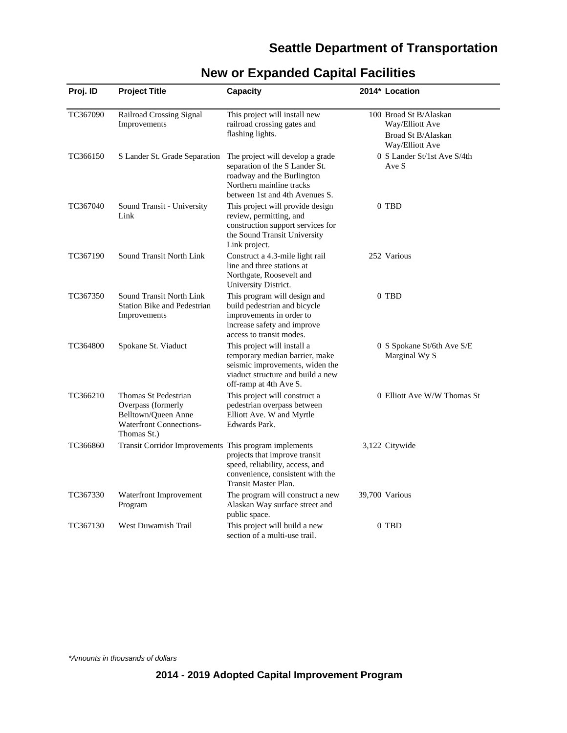### **Seattle Department of Transportation**

| Proj. ID | <b>Project Title</b>                                                                                               | <b>Capacity</b>                                                                                                                                                 | 2014* Location                                                                     |
|----------|--------------------------------------------------------------------------------------------------------------------|-----------------------------------------------------------------------------------------------------------------------------------------------------------------|------------------------------------------------------------------------------------|
| TC367090 | Railroad Crossing Signal<br>Improvements                                                                           | This project will install new<br>railroad crossing gates and<br>flashing lights.                                                                                | 100 Broad St B/Alaskan<br>Way/Elliott Ave<br>Broad St B/Alaskan<br>Way/Elliott Ave |
| TC366150 | S Lander St. Grade Separation                                                                                      | The project will develop a grade<br>separation of the S Lander St.<br>roadway and the Burlington<br>Northern mainline tracks<br>between 1st and 4th Avenues S.  | 0 S Lander St/1st Ave S/4th<br>Ave S                                               |
| TC367040 | Sound Transit - University<br>Link                                                                                 | This project will provide design<br>review, permitting, and<br>construction support services for<br>the Sound Transit University<br>Link project.               | 0 TBD                                                                              |
| TC367190 | Sound Transit North Link                                                                                           | Construct a 4.3-mile light rail<br>line and three stations at<br>Northgate, Roosevelt and<br>University District.                                               | 252 Various                                                                        |
| TC367350 | Sound Transit North Link<br><b>Station Bike and Pedestrian</b><br>Improvements                                     | This program will design and<br>build pedestrian and bicycle<br>improvements in order to<br>increase safety and improve<br>access to transit modes.             | 0 TBD                                                                              |
| TC364800 | Spokane St. Viaduct                                                                                                | This project will install a<br>temporary median barrier, make<br>seismic improvements, widen the<br>viaduct structure and build a new<br>off-ramp at 4th Ave S. | 0 S Spokane St/6th Ave S/E<br>Marginal Wy S                                        |
| TC366210 | Thomas St Pedestrian<br>Overpass (formerly<br>Belltown/Queen Anne<br><b>Waterfront Connections-</b><br>Thomas St.) | This project will construct a<br>pedestrian overpass between<br>Elliott Ave. W and Myrtle<br>Edwards Park.                                                      | 0 Elliott Ave W/W Thomas St                                                        |
| TC366860 | Transit Corridor Improvements This program implements                                                              | projects that improve transit<br>speed, reliability, access, and<br>convenience, consistent with the<br>Transit Master Plan.                                    | 3,122 Citywide                                                                     |
| TC367330 | Waterfront Improvement<br>Program                                                                                  | The program will construct a new<br>Alaskan Way surface street and<br>public space.                                                                             | 39,700 Various                                                                     |
| TC367130 | West Duwamish Trail                                                                                                | This project will build a new<br>section of a multi-use trail.                                                                                                  | 0 TBD                                                                              |

# **New or Expanded Capital Facilities**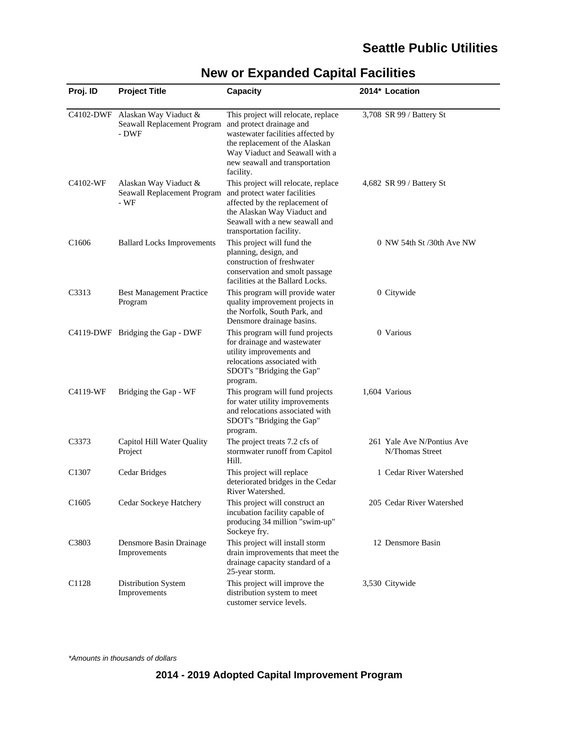| Proj. ID          | <b>Project Title</b>                                                    | Capacity                                                                                                                                                                                                                | 2014* Location                                |
|-------------------|-------------------------------------------------------------------------|-------------------------------------------------------------------------------------------------------------------------------------------------------------------------------------------------------------------------|-----------------------------------------------|
|                   | C4102-DWF Alaskan Way Viaduct &<br>Seawall Replacement Program<br>- DWF | This project will relocate, replace<br>and protect drainage and<br>wastewater facilities affected by<br>the replacement of the Alaskan<br>Way Viaduct and Seawall with a<br>new seawall and transportation<br>facility. | 3,708 SR 99 / Battery St                      |
| C4102-WF          | Alaskan Way Viaduct &<br>Seawall Replacement Program<br>- WF            | This project will relocate, replace<br>and protect water facilities<br>affected by the replacement of<br>the Alaskan Way Viaduct and<br>Seawall with a new seawall and<br>transportation facility.                      | 4,682 SR 99 / Battery St                      |
| C <sub>1606</sub> | <b>Ballard Locks Improvements</b>                                       | This project will fund the<br>planning, design, and<br>construction of freshwater<br>conservation and smolt passage<br>facilities at the Ballard Locks.                                                                 | $0$ NW 54th St $/30$ th Ave NW                |
| C3313             | <b>Best Management Practice</b><br>Program                              | This program will provide water<br>quality improvement projects in<br>the Norfolk, South Park, and<br>Densmore drainage basins.                                                                                         | 0 Citywide                                    |
|                   | C4119-DWF Bridging the Gap - DWF                                        | This program will fund projects<br>for drainage and wastewater<br>utility improvements and<br>relocations associated with<br>SDOT's "Bridging the Gap"<br>program.                                                      | 0 Various                                     |
| C4119-WF          | Bridging the Gap - WF                                                   | This program will fund projects<br>for water utility improvements<br>and relocations associated with<br>SDOT's "Bridging the Gap"<br>program.                                                                           | 1,604 Various                                 |
| C3373             | Capitol Hill Water Quality<br>Project                                   | The project treats 7.2 cfs of<br>stormwater runoff from Capitol<br>Hill.                                                                                                                                                | 261 Yale Ave N/Pontius Ave<br>N/Thomas Street |
| C <sub>1307</sub> | Cedar Bridges                                                           | This project will replace<br>deteriorated bridges in the Cedar<br>River Watershed.                                                                                                                                      | 1 Cedar River Watershed                       |
| C <sub>1605</sub> | Cedar Sockeye Hatchery                                                  | This project will construct an<br>incubation facility capable of<br>producing 34 million "swim-up"<br>Sockeye fry.                                                                                                      | 205 Cedar River Watershed                     |
| C3803             | Densmore Basin Drainage<br>Improvements                                 | This project will install storm<br>drain improvements that meet the<br>drainage capacity standard of a<br>25-year storm.                                                                                                | 12 Densmore Basin                             |
| C1128             | Distribution System<br>Improvements                                     | This project will improve the<br>distribution system to meet<br>customer service levels.                                                                                                                                | 3,530 Citywide                                |

# **New or Expanded Capital Facilities**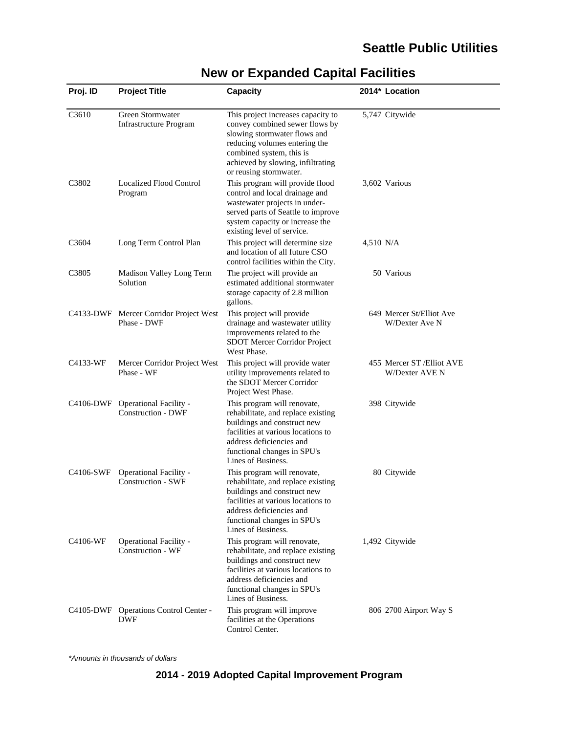| Proj. ID          | <b>Project Title</b>                                  | Capacity                                                                                                                                                                                                                         |           | 2014* Location                               |
|-------------------|-------------------------------------------------------|----------------------------------------------------------------------------------------------------------------------------------------------------------------------------------------------------------------------------------|-----------|----------------------------------------------|
| C3610             | Green Stormwater<br><b>Infrastructure Program</b>     | This project increases capacity to<br>convey combined sewer flows by<br>slowing stormwater flows and<br>reducing volumes entering the<br>combined system, this is<br>achieved by slowing, infiltrating<br>or reusing stormwater. |           | 5,747 Citywide                               |
| C <sub>3802</sub> | <b>Localized Flood Control</b><br>Program             | This program will provide flood<br>control and local drainage and<br>wastewater projects in under-<br>served parts of Seattle to improve<br>system capacity or increase the<br>existing level of service.                        |           | 3,602 Various                                |
| C <sub>3604</sub> | Long Term Control Plan                                | This project will determine size<br>and location of all future CSO<br>control facilities within the City.                                                                                                                        | 4,510 N/A |                                              |
| C3805             | Madison Valley Long Term<br>Solution                  | The project will provide an<br>estimated additional stormwater<br>storage capacity of 2.8 million<br>gallons.                                                                                                                    |           | 50 Various                                   |
|                   | C4133-DWF Mercer Corridor Project West<br>Phase - DWF | This project will provide<br>drainage and wastewater utility<br>improvements related to the<br>SDOT Mercer Corridor Project<br>West Phase.                                                                                       |           | 649 Mercer St/Elliot Ave<br>W/Dexter Ave N   |
| C4133-WF          | Mercer Corridor Project West<br>Phase - WF            | This project will provide water<br>utility improvements related to<br>the SDOT Mercer Corridor<br>Project West Phase.                                                                                                            |           | 455 Mercer ST / Elliot AVE<br>W/Dexter AVE N |
| C4106-DWF         | Operational Facility -<br><b>Construction - DWF</b>   | This program will renovate,<br>rehabilitate, and replace existing<br>buildings and construct new<br>facilities at various locations to<br>address deficiencies and<br>functional changes in SPU's<br>Lines of Business.          |           | 398 Citywide                                 |
| C4106-SWF         | Operational Facility -<br><b>Construction - SWF</b>   | This program will renovate,<br>rehabilitate, and replace existing<br>buildings and construct new<br>facilities at various locations to<br>address deficiencies and<br>functional changes in SPU's<br>Lines of Business.          |           | 80 Citywide                                  |
| C4106-WF          | Operational Facility -<br><b>Construction - WF</b>    | This program will renovate,<br>rehabilitate, and replace existing<br>buildings and construct new<br>facilities at various locations to<br>address deficiencies and<br>functional changes in SPU's<br>Lines of Business.          |           | 1,492 Citywide                               |
|                   | C4105-DWF Operations Control Center -<br>DWF          | This program will improve<br>facilities at the Operations<br>Control Center.                                                                                                                                                     |           | 806 2700 Airport Way S                       |

# **New or Expanded Capital Facilities**

\*Amounts in thousands of dollars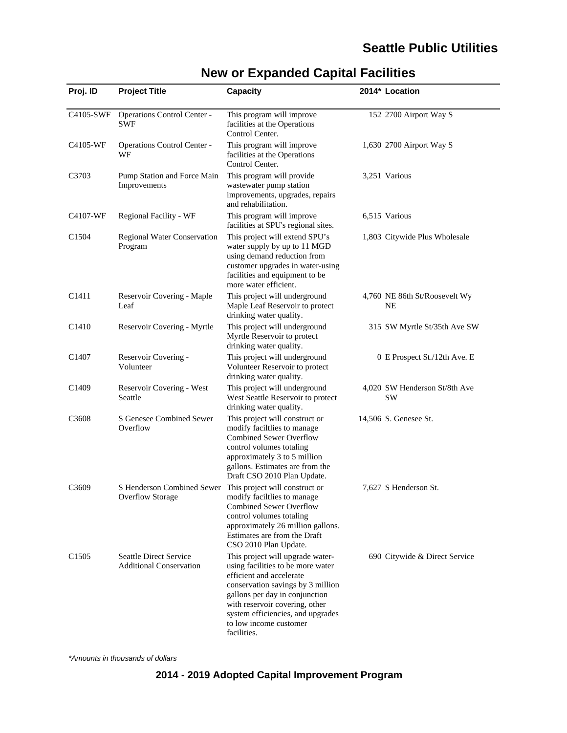| Proj. ID          | <b>Project Title</b>                                            | Capacity                                                                                                                                                                                                                                                                                 | 2014* Location                      |
|-------------------|-----------------------------------------------------------------|------------------------------------------------------------------------------------------------------------------------------------------------------------------------------------------------------------------------------------------------------------------------------------------|-------------------------------------|
| C4105-SWF         | Operations Control Center -<br><b>SWF</b>                       | This program will improve<br>facilities at the Operations<br>Control Center.                                                                                                                                                                                                             | 152 2700 Airport Way S              |
| C4105-WF          | Operations Control Center -<br>WF                               | This program will improve<br>facilities at the Operations<br>Control Center.                                                                                                                                                                                                             | 1,630 2700 Airport Way S            |
| C3703             | Pump Station and Force Main<br>Improvements                     | This program will provide<br>wastewater pump station<br>improvements, upgrades, repairs<br>and rehabilitation.                                                                                                                                                                           | 3,251 Various                       |
| C4107-WF          | Regional Facility - WF                                          | This program will improve<br>facilities at SPU's regional sites.                                                                                                                                                                                                                         | 6,515 Various                       |
| C <sub>1504</sub> | <b>Regional Water Conservation</b><br>Program                   | This project will extend SPU's<br>water supply by up to 11 MGD<br>using demand reduction from<br>customer upgrades in water-using<br>facilities and equipment to be<br>more water efficient.                                                                                             | 1,803 Citywide Plus Wholesale       |
| C <sub>1411</sub> | Reservoir Covering - Maple<br>Leaf                              | This project will underground<br>Maple Leaf Reservoir to protect<br>drinking water quality.                                                                                                                                                                                              | 4,760 NE 86th St/Roosevelt Wy<br>NE |
| C <sub>1410</sub> | Reservoir Covering - Myrtle                                     | This project will underground<br>Myrtle Reservoir to protect<br>drinking water quality.                                                                                                                                                                                                  | 315 SW Myrtle St/35th Ave SW        |
| C1407             | Reservoir Covering -<br>Volunteer                               | This project will underground<br>Volunteer Reservoir to protect<br>drinking water quality.                                                                                                                                                                                               | 0 E Prospect St./12th Ave. E        |
| C <sub>1409</sub> | Reservoir Covering - West<br>Seattle                            | This project will underground<br>West Seattle Reservoir to protect<br>drinking water quality.                                                                                                                                                                                            | 4,020 SW Henderson St/8th Ave<br>SW |
| C <sub>3608</sub> | S Genesee Combined Sewer<br>Overflow                            | This project will construct or<br>modify faciltlies to manage<br><b>Combined Sewer Overflow</b><br>control volumes totaling<br>approximately 3 to 5 million<br>gallons. Estimates are from the<br>Draft CSO 2010 Plan Update.                                                            | 14,506 S. Genesee St.               |
| C <sub>3609</sub> | S Henderson Combined Sewer<br><b>Overflow Storage</b>           | This project will construct or<br>modify facililies to manage<br><b>Combined Sewer Overflow</b><br>control volumes totaling<br>approximately 26 million gallons.<br>Estimates are from the Draft<br>CSO 2010 Plan Update.                                                                | 7,627 S Henderson St.               |
| C <sub>1505</sub> | <b>Seattle Direct Service</b><br><b>Additional Conservation</b> | This project will upgrade water-<br>using facilities to be more water<br>efficient and accelerate<br>conservation savings by 3 million<br>gallons per day in conjunction<br>with reservoir covering, other<br>system efficiencies, and upgrades<br>to low income customer<br>facilities. | 690 Citywide & Direct Service       |

# **New or Expanded Capital Facilities**

\*Amounts in thousands of dollars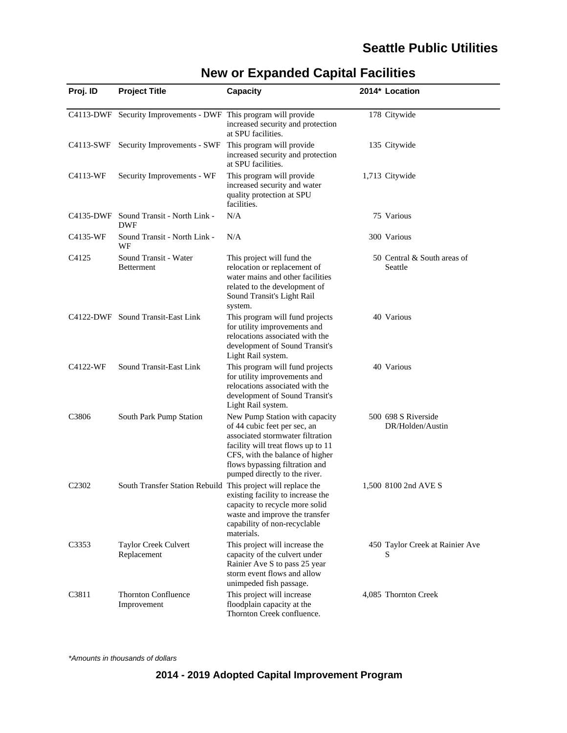| Proj. ID          | <b>Project Title</b>                                            | <b>Capacity</b>                                                                                                                                                                                                                                | 2014* Location                          |
|-------------------|-----------------------------------------------------------------|------------------------------------------------------------------------------------------------------------------------------------------------------------------------------------------------------------------------------------------------|-----------------------------------------|
|                   | C4113-DWF Security Improvements - DWF This program will provide | increased security and protection<br>at SPU facilities.                                                                                                                                                                                        | 178 Citywide                            |
|                   | C4113-SWF Security Improvements - SWF                           | This program will provide<br>increased security and protection<br>at SPU facilities.                                                                                                                                                           | 135 Citywide                            |
| C4113-WF          | Security Improvements - WF                                      | This program will provide<br>increased security and water<br>quality protection at SPU<br>facilities.                                                                                                                                          | 1,713 Citywide                          |
|                   | C4135-DWF Sound Transit - North Link -<br><b>DWF</b>            | N/A                                                                                                                                                                                                                                            | 75 Various                              |
| C4135-WF          | Sound Transit - North Link -<br>WF                              | N/A                                                                                                                                                                                                                                            | 300 Various                             |
| C4125             | Sound Transit - Water<br>Betterment                             | This project will fund the<br>relocation or replacement of<br>water mains and other facilities<br>related to the development of<br>Sound Transit's Light Rail<br>system.                                                                       | 50 Central & South areas of<br>Seattle  |
|                   | C4122-DWF Sound Transit-East Link                               | This program will fund projects<br>for utility improvements and<br>relocations associated with the<br>development of Sound Transit's<br>Light Rail system.                                                                                     | 40 Various                              |
| C4122-WF          | Sound Transit-East Link                                         | This program will fund projects<br>for utility improvements and<br>relocations associated with the<br>development of Sound Transit's<br>Light Rail system.                                                                                     | 40 Various                              |
| C <sub>3806</sub> | South Park Pump Station                                         | New Pump Station with capacity<br>of 44 cubic feet per sec, an<br>associated stormwater filtration<br>facility will treat flows up to 11<br>CFS, with the balance of higher<br>flows bypassing filtration and<br>pumped directly to the river. | 500 698 S Riverside<br>DR/Holden/Austin |
| C <sub>2302</sub> | South Transfer Station Rebuild This project will replace the    | existing facility to increase the<br>capacity to recycle more solid<br>waste and improve the transfer<br>capability of non-recyclable<br>materials.                                                                                            | 1,500 8100 2nd AVE S                    |
| C3353             | Taylor Creek Culvert<br>Replacement                             | This project will increase the<br>capacity of the culvert under<br>Rainier Ave S to pass 25 year<br>storm event flows and allow<br>unimpeded fish passage.                                                                                     | 450 Taylor Creek at Rainier Ave<br>S    |
| C3811             | <b>Thornton Confluence</b><br>Improvement                       | This project will increase<br>floodplain capacity at the<br>Thornton Creek confluence.                                                                                                                                                         | 4,085 Thornton Creek                    |

# **New or Expanded Capital Facilities**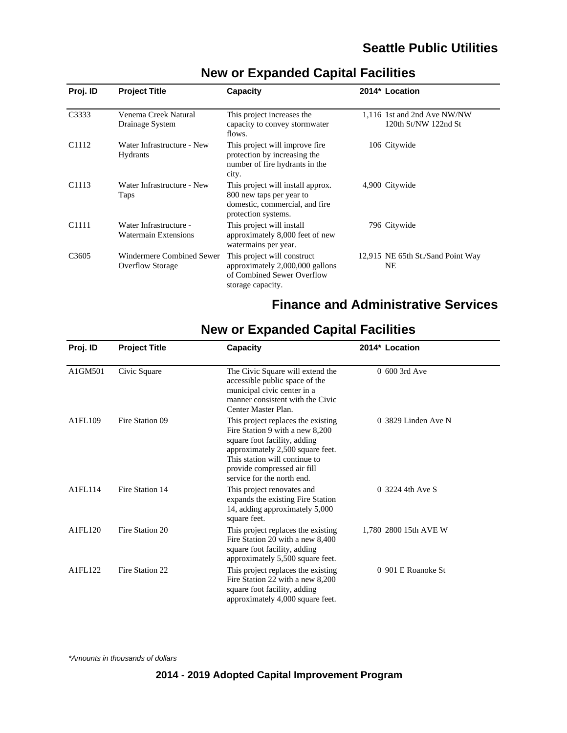| Proj. ID          | <b>Project Title</b>                                        | Capacity                                                                                                               | 2014* Location                                      |
|-------------------|-------------------------------------------------------------|------------------------------------------------------------------------------------------------------------------------|-----------------------------------------------------|
| C3333             | Venema Creek Natural<br>Drainage System                     | This project increases the<br>capacity to convey stormwater<br>flows.                                                  | 1,116 1st and 2nd Ave NW/NW<br>120th St/NW 122nd St |
| C <sub>1112</sub> | Water Infrastructure - New<br><b>Hydrants</b>               | This project will improve fire.<br>protection by increasing the<br>number of fire hydrants in the<br>city.             | 106 Citywide                                        |
| C <sub>1113</sub> | Water Infrastructure - New<br>Taps                          | This project will install approx.<br>800 new taps per year to<br>domestic, commercial, and fire<br>protection systems. | 4,900 Citywide                                      |
| C1111             | Water Infrastructure -<br><b>Watermain Extensions</b>       | This project will install<br>approximately 8,000 feet of new<br>watermains per year.                                   | 796 Citywide                                        |
| C <sub>3605</sub> | <b>Windermere Combined Sewer</b><br><b>Overflow Storage</b> | This project will construct<br>approximately 2,000,000 gallons<br>of Combined Sewer Overflow<br>storage capacity.      | 12,915 NE 65th St./Sand Point Way<br><b>NE</b>      |

### **New or Expanded Capital Facilities**

### **Finance and Administrative Services**

# **New or Expanded Capital Facilities**

| Proj. ID | <b>Project Title</b> | <b>Capacity</b>                                                                                                                                                                                                                         | 2014* Location        |
|----------|----------------------|-----------------------------------------------------------------------------------------------------------------------------------------------------------------------------------------------------------------------------------------|-----------------------|
| A1GM501  | Civic Square         | The Civic Square will extend the<br>accessible public space of the<br>municipal civic center in a<br>manner consistent with the Civic<br>Center Master Plan.                                                                            | $0.600$ 3rd Ave       |
| A1FL109  | Fire Station 09      | This project replaces the existing<br>Fire Station 9 with a new 8,200<br>square foot facility, adding<br>approximately 2,500 square feet.<br>This station will continue to<br>provide compressed air fill<br>service for the north end. | $0.3829$ Linden Ave N |
| A1FL114  | Fire Station 14      | This project renovates and<br>expands the existing Fire Station<br>14, adding approximately 5,000<br>square feet.                                                                                                                       | 0 3224 4th Ave S      |
| A1FL120  | Fire Station 20      | This project replaces the existing<br>Fire Station 20 with a new 8,400<br>square foot facility, adding<br>approximately 5,500 square feet.                                                                                              | 1.780 2800 15th AVE W |
| A1FL122  | Fire Station 22      | This project replaces the existing<br>Fire Station 22 with a new 8,200<br>square foot facility, adding<br>approximately 4,000 square feet.                                                                                              | 0 901 E Roanoke St    |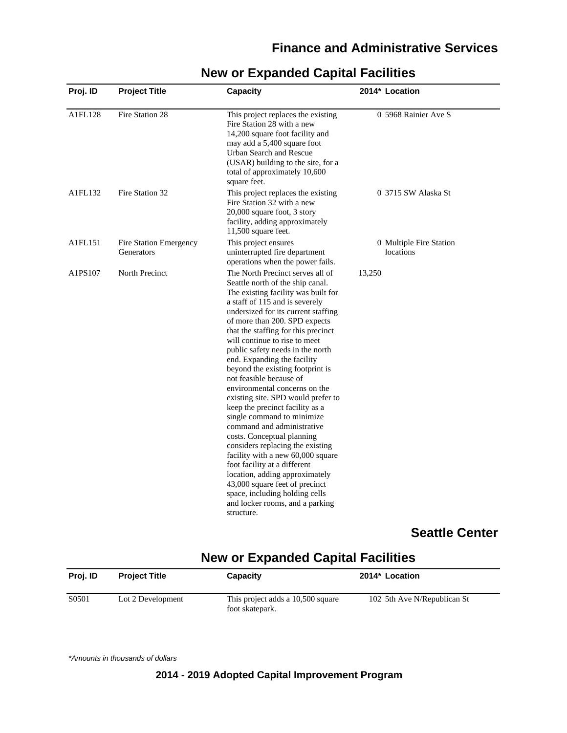| <b>Project Title</b>                 | Capacity                                                                                                                                                                                                                                                                                                                                                                                                                                                                                                                                                                                                                                                                                                                                                                                                                                                                                            | 2014* Location                       |
|--------------------------------------|-----------------------------------------------------------------------------------------------------------------------------------------------------------------------------------------------------------------------------------------------------------------------------------------------------------------------------------------------------------------------------------------------------------------------------------------------------------------------------------------------------------------------------------------------------------------------------------------------------------------------------------------------------------------------------------------------------------------------------------------------------------------------------------------------------------------------------------------------------------------------------------------------------|--------------------------------------|
| Fire Station 28                      | This project replaces the existing<br>Fire Station 28 with a new<br>14,200 square foot facility and<br>may add a 5,400 square foot<br>Urban Search and Rescue<br>(USAR) building to the site, for a<br>total of approximately 10,600<br>square feet.                                                                                                                                                                                                                                                                                                                                                                                                                                                                                                                                                                                                                                                | 0 5968 Rainier Ave S                 |
| Fire Station 32                      | This project replaces the existing<br>Fire Station 32 with a new<br>20,000 square foot, 3 story<br>facility, adding approximately<br>$11,500$ square feet.                                                                                                                                                                                                                                                                                                                                                                                                                                                                                                                                                                                                                                                                                                                                          | 0 3715 SW Alaska St                  |
| Fire Station Emergency<br>Generators | This project ensures<br>uninterrupted fire department<br>operations when the power fails.                                                                                                                                                                                                                                                                                                                                                                                                                                                                                                                                                                                                                                                                                                                                                                                                           | 0 Multiple Fire Station<br>locations |
| North Precinct                       | The North Precinct serves all of<br>Seattle north of the ship canal.<br>The existing facility was built for<br>a staff of 115 and is severely<br>undersized for its current staffing<br>of more than 200. SPD expects<br>that the staffing for this precinct<br>will continue to rise to meet<br>public safety needs in the north<br>end. Expanding the facility<br>beyond the existing footprint is<br>not feasible because of<br>environmental concerns on the<br>existing site. SPD would prefer to<br>keep the precinct facility as a<br>single command to minimize<br>command and administrative<br>costs. Conceptual planning<br>considers replacing the existing<br>facility with a new 60,000 square<br>foot facility at a different<br>location, adding approximately<br>43,000 square feet of precinct<br>space, including holding cells<br>and locker rooms, and a parking<br>structure. | 13,250                               |
|                                      |                                                                                                                                                                                                                                                                                                                                                                                                                                                                                                                                                                                                                                                                                                                                                                                                                                                                                                     |                                      |

### **New or Expanded Capital Facilities**

#### **Seattle Center**

### **New or Expanded Capital Facilities**

| Proi. ID | <b>Project Title</b> | Capacity                                             | 2014* Location              |
|----------|----------------------|------------------------------------------------------|-----------------------------|
| S0501    | Lot 2 Development    | This project adds a 10,500 square<br>foot skatepark. | 102 5th Ave N/Republican St |

\*Amounts in thousands of dollars